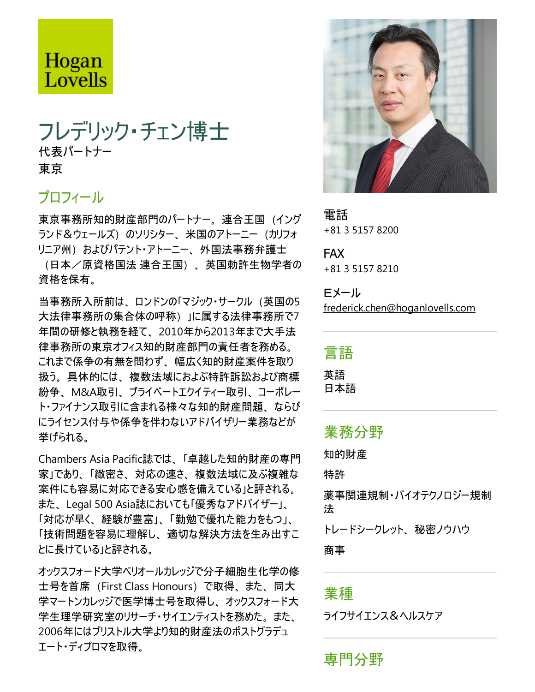# Hogan Lovells

## フレデリック・チェン博士 代表パートナー 東京

#### プロフィール

東京事務所知的財産部門のパートナー。連合王国(イング ランド&ウェールズ)のソリシター、米国のアトーニー(カリフォ リニア州) およびパテント・アトーニー、外国法事務弁護士 (日本/原資格国法 連合王国)、英国勅許生物学者の 資格を保有。

当事務所入所前は、ロンドンの「マジック・サークル (英国の5 大法律事務所の集合体の呼称)」に属する法律事務所で7 年間の研修と執務を経て、2010年から2013年まで大手法 律事務所の東京オフィス知的財産部門の責任者を務める。 これまで係争の有無を問わず、幅広く知的財産案件を取り 扱う。具体的には、複数法域におよぶ特許訴訟および商標 紛争、M&A取引、プライベートエクイティー取引、コーポレー ト・ファイナンス取引に含まれる様々な知的財産問題、ならび にライセンス付与や係争を伴わないアドバイザリー業務などが 挙げられる。

Chambers Asia Pacific誌では、「卓越した知的財産の専門 家」であり、「緻密さ、対応の速さ、複数法域に及ぶ複雑な 案件にも容易に対応できる安心感を備えている」と評される。 また、Legal 500 Asia誌においても「優秀なアドバイザー」、 「対応が早く、経験が豊富」、「勤勉で優れた能力をもつ」、 「技術問題を容易に理解し、適切な解決方法を生み出すこ とに長けている」と評される。

オックスフォード大学ベリオールカレッジで分子細胞生化学の修 士号を首席 (First Class Honours) で取得、また、同大 学マートンカレッジで医学博士号を取得し、オックスフォード大 学生理学研究室のリサーチ・サイエンティストを務めた。また、 2006年にはブリストル大学より知的財産法のポストグラデュ エート・ディプロマを取得。



電話 +81 3 5157 8200

FAX +81 3 5157 8210

Eメール frederick.chen@hoganlovells.com

言語

英語 日本語

#### 業務分野

知的財産

特許

薬事関連規制・バイオテクノロジー規制 法

トレードシークレット、秘密ノウハウ

商事

#### 業種

ライフサイエンス&ヘルスケア

専門分野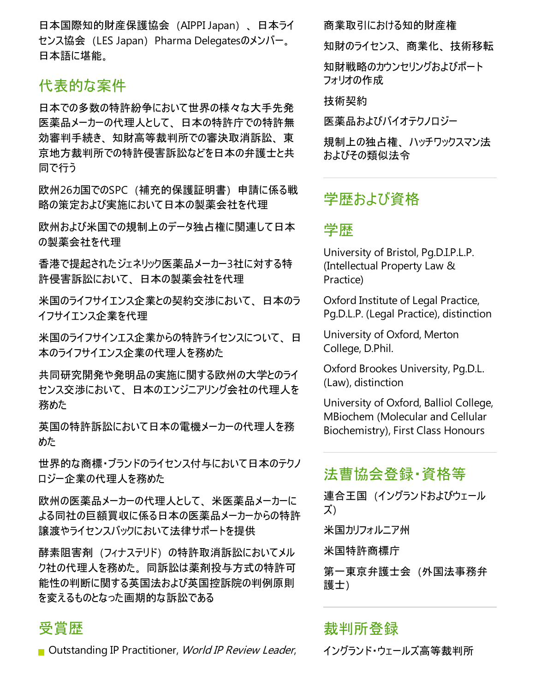日本国際知的財産保護協会(AIPPI Japan)、日本ライ センス協会 (LES Japan) Pharma Delegatesのメンバー。 日本語に堪能。

#### 代表的な案件

日本での多数の特許紛争において世界の様々な大手先発 医薬品メーカーの代理人として、日本の特許庁での特許無 効審判手続き、知財高等裁判所での審決取消訴訟、東 京地方裁判所での特許侵害訴訟などを日本の弁護士と共 同で行う

欧州26カ国でのSPC(補充的保護証明書)申請に係る戦 略の策定および実施において日本の製薬会社を代理

欧州および米国での規制上のデータ独占権に関連して日本 の製薬会社を代理

香港で提起されたジェネリック医薬品メーカー3社に対する特 許侵害訴訟において、日本の製薬会社を代理

米国のライフサイエンス企業との契約交渉において、日本のラ イフサイエンス企業を代理

米国のライフサインエス企業からの特許ライセンスについて、日 本のライフサイエンス企業の代理人を務めた

共同研究開発や発明品の実施に関する欧州の大学とのライ センス交渉において、日本のエンジニアリング会社の代理人を 務めた

英国の特許訴訟において日本の電機メーカーの代理人を務 めた

世界的な商標・ブランドのライセンス付与において日本のテクノ ロジー企業の代理人を務めた

欧州の医薬品メーカーの代理人として、米医薬品メーカーに よる同社の巨額買収に係る日本の医薬品メーカーからの特許 譲渡やライセンスバックにおいて法律サポートを提供

酵素阻害剤(フィナステリド)の特許取消訴訟においてメル ク社の代理人を務めた。同訴訟は薬剤投与方式の特許可 能性の判断に関する英国法および英国控訴院の判例原則 を変えるものとなった画期的な訴訟である

#### 受賞歴

**D** Outstanding IP Practitioner, *World IP Review Leader*,

商業取引における知的財産権

知財のライセンス、商業化、技術移転

知財戦略のカウンセリングおよびポート フォリオの作成

技術契約

医薬品およびバイオテクノロジー

規制上の独占権、ハッチワックスマン法 およびその類似法令

## 学歴および資格

#### 学歴

University of Bristol, Pg.D.I.P.L.P. (Intellectual Property Law & Practice)

Oxford Institute of Legal Practice, Pg.D.L.P. (Legal Practice), distinction

University of Oxford, Merton College, D.Phil.

Oxford Brookes University, Pg.D.L. (Law), distinction

University of Oxford, Balliol College, MBiochem (Molecular and Cellular Biochemistry), First Class Honours

### 法曹協会登録・資格等

連合王国 (イングランドおよびウェール ズ)

米国カリフォルニア州

米国特許商標庁

第一東京弁護士会(外国法事務弁 護士)

#### 裁判所登録

イングランド・ウェールズ高等裁判所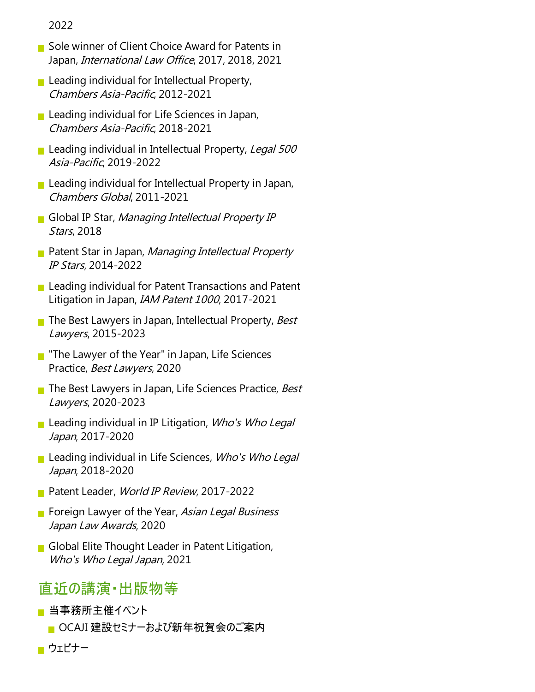2022

- Sole winner of Client Choice Award for Patents in Japan, International Law Office, 2017, 2018, 2021
- **Leading individual for Intellectual Property,** Chambers Asia-Pacific, 2012-2021
- $\blacksquare$  Leading individual for Life Sciences in Japan, Chambers Asia-Pacific, 2018-2021
- Leading individual in Intellectual Property, Legal 500 Asia-Pacific, 2019-2022
- Leading individual for Intellectual Property in Japan, Chambers Global, 2011-2021
- Global IP Star, Managing Intellectual Property IP Stars, 2018
- Patent Star in Japan, Managing Intellectual Property IP Stars, 2014-2022
- $\blacksquare$  Leading individual for Patent Transactions and Patent Litigation in Japan, IAM Patent <sup>1000</sup>, 2017-2021
- The Best Lawyers in Japan, Intellectual Property, Best Lawyers, 2015-2023
- $\blacksquare$  "The Lawyer of the Year" in Japan, Life Sciences Practice, Best Lawyers, 2020
- The Best Lawyers in Japan, Life Sciences Practice, Best Lawyers, 2020-2023
- Leading individual in IP Litigation, Who's Who Legal Japan, 2017-2020
- **Leading individual in Life Sciences, Who's Who Legal** Japan, 2018-2020
- Patent Leader, World IP Review, 2017-2022
- Foreign Lawyer of the Year, Asian Legal Business Japan Law Awards, 2020
- Global Elite Thought Leader in Patent Litigation, Who's Who Legal Japan, 2021

#### 直近の講演・出版物等

- 当事務所主催イベント
	- OCAJI 建設セミナーおよび新年祝賀会のご案内
- ウェビナー